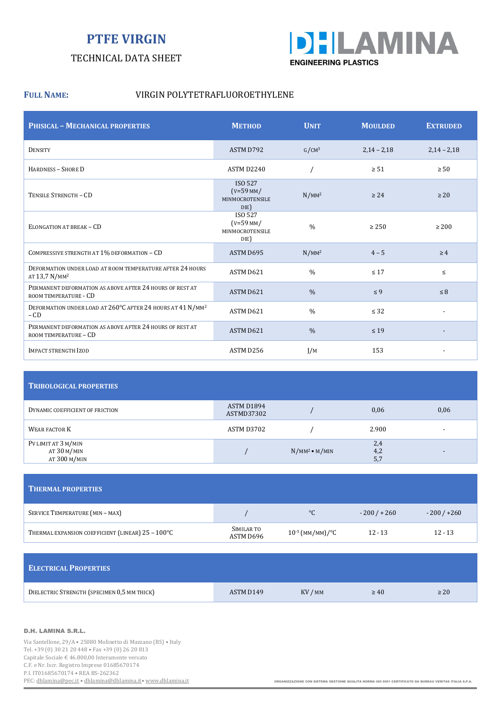# **PTFE VIRGIN**

### TECHNICAL DATA SHEET



#### **FULL NAME:** VIRGIN POLYTETRAFLUOROETHYLENE

| <b>PHISICAL - MECHANICAL PROPERTIES</b>                                                | <b>METHOD</b>                                     | <b>UNIT</b>       | <b>MOULDED</b> | <b>EXTRUDED</b> |
|----------------------------------------------------------------------------------------|---------------------------------------------------|-------------------|----------------|-----------------|
| <b>DENSITY</b>                                                                         | ASTM D792                                         | G/CM <sup>3</sup> | $2,14 - 2,18$  | $2,14 - 2,18$   |
| HARDNESS - SHORE D                                                                     | ASTM D2240                                        |                   | $\geq 51$      | $\geq 50$       |
| TENSILE STRENGTH - CD                                                                  | ISO 527<br>$(V=59$ MM/<br>MINMOCROTENSILE<br>DIE) | $N/MM^2$          | $\geq 24$      | $\geq 20$       |
| ELONGATION AT BREAK - CD                                                               | ISO 527<br>$(V=59$ MM/<br>MINMOCROTENSILE<br>DIE) | $\frac{0}{0}$     | $\geq 250$     | $\geq 200$      |
| COMPRESSIVE STRENGTH AT 1% DEFORMATION - CD                                            | ASTM D695                                         | $N/MM^2$          | $4 - 5$        | $\geq 4$        |
| DEFORMATION UNDER LOAD AT ROOM TEMPERATURE AFTER 24 HOURS<br>AT 13,7 N/MM <sup>2</sup> | ASTM D621                                         | $\frac{0}{0}$     | $\leq 17$      | $\leq$          |
| PERMANENT DEFORMATION AS ABOVE AFTER 24 HOURS OF REST AT<br>ROOM TEMPERATURE - CD      | ASTM D621                                         | $\frac{0}{0}$     | $\leq 9$       | $\leq 8$        |
| DEFORMATION UNDER LOAD AT 260°C AFTER 24 HOURS AT 41 N/MM <sup>2</sup><br>$-CD$        | ASTM D621                                         | $\frac{0}{0}$     | $\leq$ 32      |                 |
| PERMANENT DEFORMATION AS ABOVE AFTER 24 HOURS OF REST AT<br>ROOM TEMPERATURE - CD      | ASTM D621                                         | $\frac{0}{0}$     | $\leq 19$      |                 |
| <b>IMPACT STRENGTH IZOD</b>                                                            | ASTM D256                                         | I/M               | 153            |                 |

| <b>TRIBOLOGICAL PROPERTIES</b>                       |                          |                        |                   |                          |  |  |  |
|------------------------------------------------------|--------------------------|------------------------|-------------------|--------------------------|--|--|--|
| DYNAMIC COEFFICIENT OF FRICTION                      | ASTM D1894<br>ASTMD37302 |                        | 0,06              | 0,06                     |  |  |  |
| <b>WEAR FACTOR K</b>                                 | ASTM D3702               |                        | 2.900             | $\overline{\phantom{0}}$ |  |  |  |
| PV LIMIT AT 3 M/MIN<br>AT $30$ M/MIN<br>AT 300 M/MIN |                          | $N/MM^2 \bullet M/MIN$ | 2,4<br>4,2<br>5,7 |                          |  |  |  |

| <b>THERMAL PROPERTIES</b>                         |                         |                      |             |             |
|---------------------------------------------------|-------------------------|----------------------|-------------|-------------|
| SERVICE TEMPERATURE (MIN - MAX)                   |                         | $^{\circ}C$          | $-200/+260$ | $-200/+260$ |
| THERMAL EXPANSION COEFFICIENT (LINEAR) 25 - 100°C | SIMILAR TO<br>ASTM D696 | $10^{-5}$ (MM/MM)/°C | $12 - 13$   | $12 - 13$   |

| <b>ELECTRICAL PROPERTIES</b>                |           |         |           |           |
|---------------------------------------------|-----------|---------|-----------|-----------|
| DIELECTRIC STRENGTH (SPECIMEN 0,5 MM THICK) | ASTM D149 | KV / MM | $\geq 40$ | $\geq 20$ |

#### D.H. LAMINA S.R.L.

Via Santellone, 29/A • 25080 Molinetto di Mazzano (BS) • Italy Tel. +39 (0) 30 21 20 448 • Fax +39 (0) 26 20 813 Capitale Sociale € 46.800,00 Interamente versato C.F. e Nr. Iscr. Registro Imprese 01685670174 P.I. IT01685670174 • REA BS-262362<br>PEC: <u>dhlamina@pec.it</u> • dhlamina@dhlamina.it • www.dhlamina.it